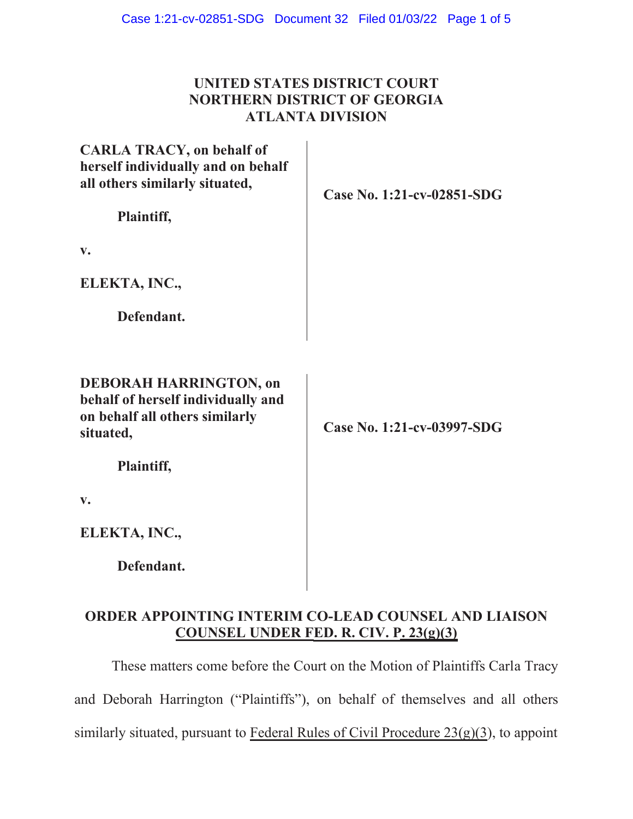## **UNITED STATES DISTRICT COURT NORTHERN DISTRICT OF GEORGIA ATLANTA DIVISION**

| <b>CARLA TRACY, on behalf of</b><br>herself individually and on behalf<br>all others similarly situated,<br>Plaintiff, | Case No. 1:21-cv-02851-SDG |
|------------------------------------------------------------------------------------------------------------------------|----------------------------|
| $\mathbf{v}$ .                                                                                                         |                            |
| ELEKTA, INC.,                                                                                                          |                            |
| Defendant.                                                                                                             |                            |
| <b>DEBORAH HARRINGTON, on</b><br>behalf of herself individually and<br>on behalf all others similarly<br>situated,     | Case No. 1:21-cv-03997-SDG |
| Plaintiff,                                                                                                             |                            |
| V.                                                                                                                     |                            |
| ELEKTA, INC.,                                                                                                          |                            |
| Defendant.                                                                                                             |                            |

## **ORDER APPOINTING INTERIM CO-LEAD COUNSEL AND LIAISON COUNSEL UNDER FED. R. CIV. P. 23(g)(3)**

These matters come before the Court on the Motion of Plaintiffs Carla Tracy and Deborah Harrington ("Plaintiffs"), on behalf of themselves and all others similarly situated, pursuant to Federal Rules of Civil Procedure 23(g)(3), to appoint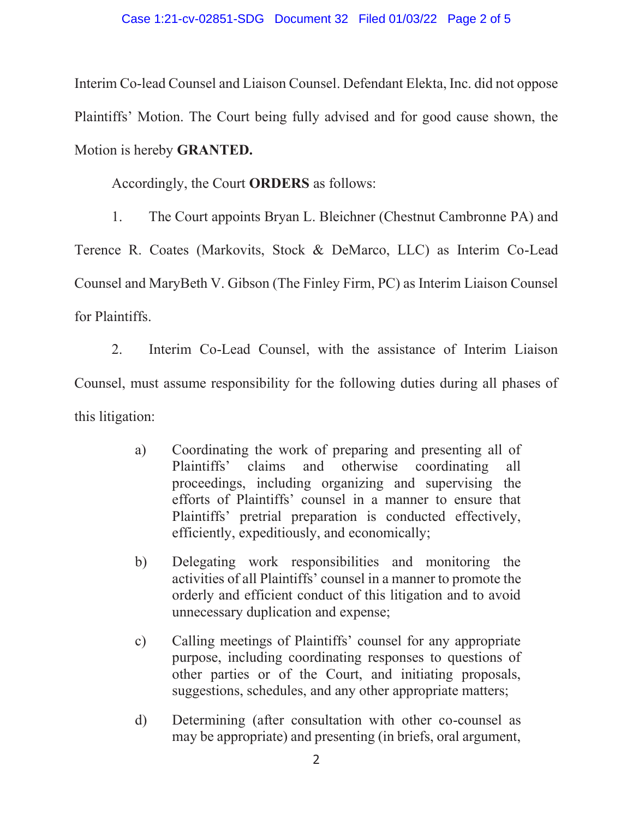Interim Co-lead Counsel and Liaison Counsel. Defendant Elekta, Inc. did not oppose Plaintiffs' Motion. The Court being fully advised and for good cause shown, the Motion is hereby **GRANTED.** 

Accordingly, the Court **ORDERS** as follows:

1. The Court appoints Bryan L. Bleichner (Chestnut Cambronne PA) and

Terence R. Coates (Markovits, Stock & DeMarco, LLC) as Interim Co-Lead Counsel and MaryBeth V. Gibson (The Finley Firm, PC) as Interim Liaison Counsel for Plaintiffs.

2. Interim Co-Lead Counsel, with the assistance of Interim Liaison Counsel, must assume responsibility for the following duties during all phases of this litigation:

- a) Coordinating the work of preparing and presenting all of Plaintiffs' claims and otherwise coordinating all proceedings, including organizing and supervising the efforts of Plaintiffs' counsel in a manner to ensure that Plaintiffs' pretrial preparation is conducted effectively, efficiently, expeditiously, and economically;
- b) Delegating work responsibilities and monitoring the activities of all Plaintiffs' counsel in a manner to promote the orderly and efficient conduct of this litigation and to avoid unnecessary duplication and expense;
- c) Calling meetings of Plaintiffs' counsel for any appropriate purpose, including coordinating responses to questions of other parties or of the Court, and initiating proposals, suggestions, schedules, and any other appropriate matters;
- d) Determining (after consultation with other co-counsel as may be appropriate) and presenting (in briefs, oral argument,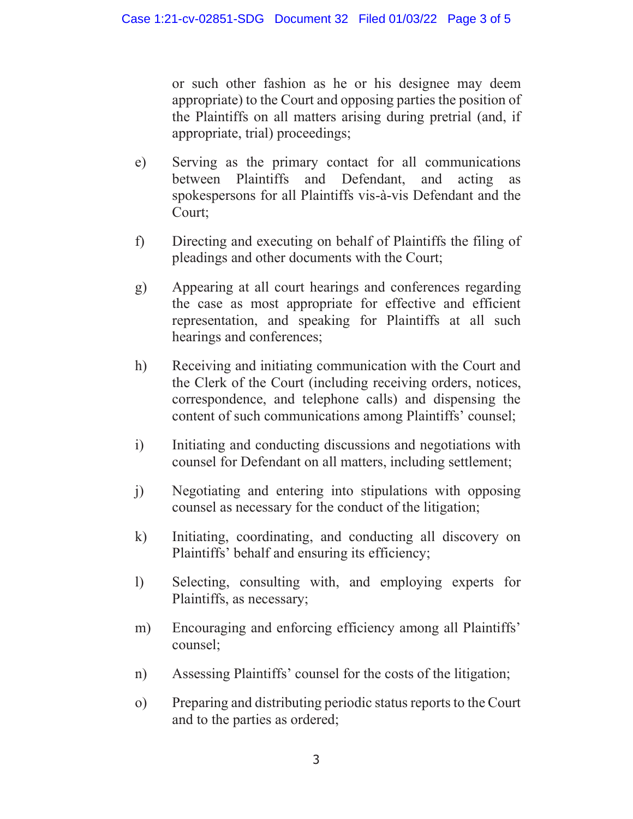or such other fashion as he or his designee may deem appropriate) to the Court and opposing parties the position of the Plaintiffs on all matters arising during pretrial (and, if appropriate, trial) proceedings;

- e) Serving as the primary contact for all communications between Plaintiffs and Defendant, and acting as spokespersons for all Plaintiffs vis-à-vis Defendant and the Court;
- f) Directing and executing on behalf of Plaintiffs the filing of pleadings and other documents with the Court;
- g) Appearing at all court hearings and conferences regarding the case as most appropriate for effective and efficient representation, and speaking for Plaintiffs at all such hearings and conferences;
- h) Receiving and initiating communication with the Court and the Clerk of the Court (including receiving orders, notices, correspondence, and telephone calls) and dispensing the content of such communications among Plaintiffs' counsel;
- i) Initiating and conducting discussions and negotiations with counsel for Defendant on all matters, including settlement;
- j) Negotiating and entering into stipulations with opposing counsel as necessary for the conduct of the litigation;
- k) Initiating, coordinating, and conducting all discovery on Plaintiffs' behalf and ensuring its efficiency;
- l) Selecting, consulting with, and employing experts for Plaintiffs, as necessary;
- m) Encouraging and enforcing efficiency among all Plaintiffs' counsel;
- n) Assessing Plaintiffs' counsel for the costs of the litigation;
- o) Preparing and distributing periodic status reports to the Court and to the parties as ordered;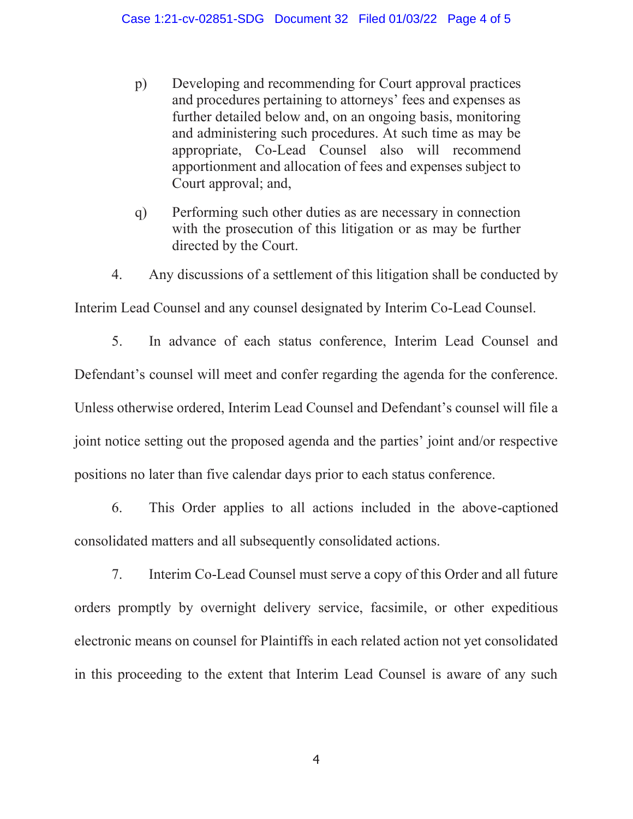- p) Developing and recommending for Court approval practices and procedures pertaining to attorneys' fees and expenses as further detailed below and, on an ongoing basis, monitoring and administering such procedures. At such time as may be appropriate, Co-Lead Counsel also will recommend apportionment and allocation of fees and expenses subject to Court approval; and,
- q) Performing such other duties as are necessary in connection with the prosecution of this litigation or as may be further directed by the Court.
- 4. Any discussions of a settlement of this litigation shall be conducted by

Interim Lead Counsel and any counsel designated by Interim Co-Lead Counsel.

5. In advance of each status conference, Interim Lead Counsel and Defendant's counsel will meet and confer regarding the agenda for the conference. Unless otherwise ordered, Interim Lead Counsel and Defendant's counsel will file a joint notice setting out the proposed agenda and the parties' joint and/or respective positions no later than five calendar days prior to each status conference.

6. This Order applies to all actions included in the above-captioned consolidated matters and all subsequently consolidated actions.

7. Interim Co-Lead Counsel must serve a copy of this Order and all future orders promptly by overnight delivery service, facsimile, or other expeditious electronic means on counsel for Plaintiffs in each related action not yet consolidated in this proceeding to the extent that Interim Lead Counsel is aware of any such